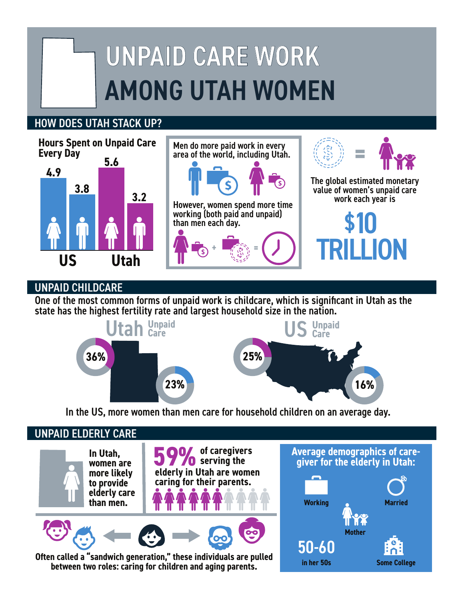# UNPAID CARE WORK AMONG UTAH WOMEN

## HOW DOES UTAH STACK UP?



## UNPAID CHILDCARE

One of the most common forms of unpaid work is childcare, which is significant in Utah as the state has the highest fertility rate and largest household size in the nation.





UNPAID ELDERLY CARE